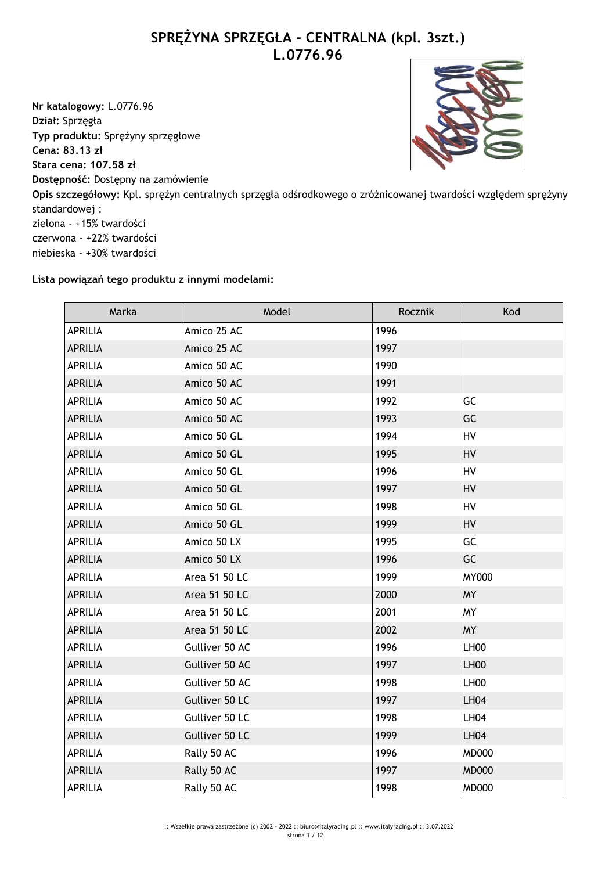## **SPRĘŻYNA SPRZĘGŁA - CENTRALNA (kpl. 3szt.) L.0776.96**

**Nr katalogowy:** L.0776.96 **Dział:** Sprzęgła **Typ produktu:** Sprężyny sprzęgłowe **Cena: 83.13 zł Stara cena: 107.58 zł Dostępność:** Dostępny na zamówienie **Opis szczegółowy:** Kpl. sprężyn centralnych sprzęgła odśrodkowego o zróżnicowanej twardości względem sprężyny standardowej : zielona - +15% twardości czerwona - +22% twardości niebieska - +30% twardości

## **Lista powiązań tego produktu z innymi modelami:**

| Marka          | Model          | Rocznik | Kod              |
|----------------|----------------|---------|------------------|
| <b>APRILIA</b> | Amico 25 AC    | 1996    |                  |
| <b>APRILIA</b> | Amico 25 AC    | 1997    |                  |
| <b>APRILIA</b> | Amico 50 AC    | 1990    |                  |
| <b>APRILIA</b> | Amico 50 AC    | 1991    |                  |
| <b>APRILIA</b> | Amico 50 AC    | 1992    | GC               |
| <b>APRILIA</b> | Amico 50 AC    | 1993    | GC               |
| <b>APRILIA</b> | Amico 50 GL    | 1994    | HV               |
| <b>APRILIA</b> | Amico 50 GL    | 1995    | HV               |
| <b>APRILIA</b> | Amico 50 GL    | 1996    | HV               |
| <b>APRILIA</b> | Amico 50 GL    | 1997    | HV               |
| <b>APRILIA</b> | Amico 50 GL    | 1998    | <b>HV</b>        |
| <b>APRILIA</b> | Amico 50 GL    | 1999    | HV               |
| <b>APRILIA</b> | Amico 50 LX    | 1995    | GC               |
| <b>APRILIA</b> | Amico 50 LX    | 1996    | GC               |
| <b>APRILIA</b> | Area 51 50 LC  | 1999    | <b>MY000</b>     |
| <b>APRILIA</b> | Area 51 50 LC  | 2000    | <b>MY</b>        |
| <b>APRILIA</b> | Area 51 50 LC  | 2001    | <b>MY</b>        |
| <b>APRILIA</b> | Area 51 50 LC  | 2002    | <b>MY</b>        |
| <b>APRILIA</b> | Gulliver 50 AC | 1996    | LH <sub>00</sub> |
| <b>APRILIA</b> | Gulliver 50 AC | 1997    | <b>LH00</b>      |
| <b>APRILIA</b> | Gulliver 50 AC | 1998    | LH <sub>00</sub> |
| <b>APRILIA</b> | Gulliver 50 LC | 1997    | <b>LH04</b>      |
| <b>APRILIA</b> | Gulliver 50 LC | 1998    | LHO4             |
| <b>APRILIA</b> | Gulliver 50 LC | 1999    | <b>LH04</b>      |
| <b>APRILIA</b> | Rally 50 AC    | 1996    | <b>MD000</b>     |
| <b>APRILIA</b> | Rally 50 AC    | 1997    | <b>MD000</b>     |
| <b>APRILIA</b> | Rally 50 AC    | 1998    | <b>MD000</b>     |

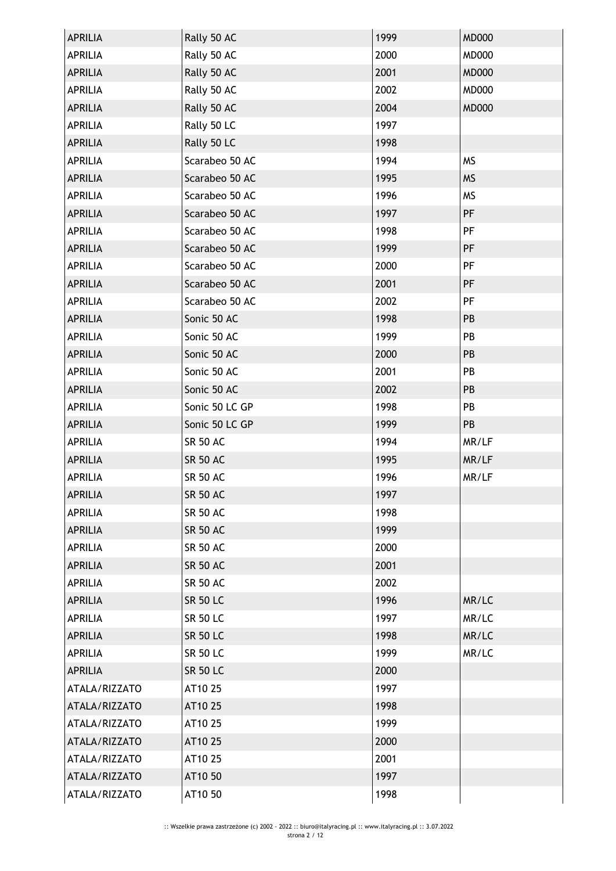| <b>APRILIA</b> | Rally 50 AC     | 1999 | <b>MD000</b> |
|----------------|-----------------|------|--------------|
| <b>APRILIA</b> | Rally 50 AC     | 2000 | <b>MD000</b> |
| <b>APRILIA</b> | Rally 50 AC     | 2001 | <b>MD000</b> |
| <b>APRILIA</b> | Rally 50 AC     | 2002 | <b>MD000</b> |
| <b>APRILIA</b> | Rally 50 AC     | 2004 | <b>MD000</b> |
| <b>APRILIA</b> | Rally 50 LC     | 1997 |              |
| <b>APRILIA</b> | Rally 50 LC     | 1998 |              |
| APRILIA        | Scarabeo 50 AC  | 1994 | <b>MS</b>    |
| <b>APRILIA</b> | Scarabeo 50 AC  | 1995 | <b>MS</b>    |
| <b>APRILIA</b> | Scarabeo 50 AC  | 1996 | <b>MS</b>    |
| <b>APRILIA</b> | Scarabeo 50 AC  | 1997 | PF           |
| <b>APRILIA</b> | Scarabeo 50 AC  | 1998 | PF           |
| <b>APRILIA</b> | Scarabeo 50 AC  | 1999 | PF           |
| APRILIA        | Scarabeo 50 AC  | 2000 | PF           |
| <b>APRILIA</b> | Scarabeo 50 AC  | 2001 | PF           |
| <b>APRILIA</b> | Scarabeo 50 AC  | 2002 | PF           |
| <b>APRILIA</b> | Sonic 50 AC     | 1998 | PB           |
| <b>APRILIA</b> | Sonic 50 AC     | 1999 | PB           |
| <b>APRILIA</b> | Sonic 50 AC     | 2000 | PB           |
| <b>APRILIA</b> | Sonic 50 AC     | 2001 | PB           |
| <b>APRILIA</b> | Sonic 50 AC     | 2002 | PB           |
| <b>APRILIA</b> | Sonic 50 LC GP  | 1998 | PB           |
| <b>APRILIA</b> | Sonic 50 LC GP  | 1999 | PB           |
| <b>APRILIA</b> | <b>SR 50 AC</b> | 1994 | MR/LF        |
| <b>APRILIA</b> | <b>SR 50 AC</b> | 1995 | MR/LF        |
| <b>APRILIA</b> | <b>SR 50 AC</b> | 1996 | MR/LF        |
| <b>APRILIA</b> | <b>SR 50 AC</b> | 1997 |              |
| <b>APRILIA</b> | <b>SR 50 AC</b> | 1998 |              |
| <b>APRILIA</b> | <b>SR 50 AC</b> | 1999 |              |
| <b>APRILIA</b> | <b>SR 50 AC</b> | 2000 |              |
| <b>APRILIA</b> | <b>SR 50 AC</b> | 2001 |              |
| <b>APRILIA</b> | <b>SR 50 AC</b> | 2002 |              |
| <b>APRILIA</b> | <b>SR 50 LC</b> | 1996 | MR/LC        |
| <b>APRILIA</b> | <b>SR 50 LC</b> | 1997 | MR/LC        |
| <b>APRILIA</b> | <b>SR 50 LC</b> | 1998 | MR/LC        |
| <b>APRILIA</b> | <b>SR 50 LC</b> | 1999 | MR/LC        |
| <b>APRILIA</b> | <b>SR 50 LC</b> | 2000 |              |
| ATALA/RIZZATO  | AT10 25         | 1997 |              |
| ATALA/RIZZATO  | AT10 25         | 1998 |              |
| ATALA/RIZZATO  | AT10 25         | 1999 |              |
| ATALA/RIZZATO  | AT10 25         | 2000 |              |
| ATALA/RIZZATO  | AT10 25         | 2001 |              |
| ATALA/RIZZATO  | AT10 50         | 1997 |              |
| ATALA/RIZZATO  | AT10 50         | 1998 |              |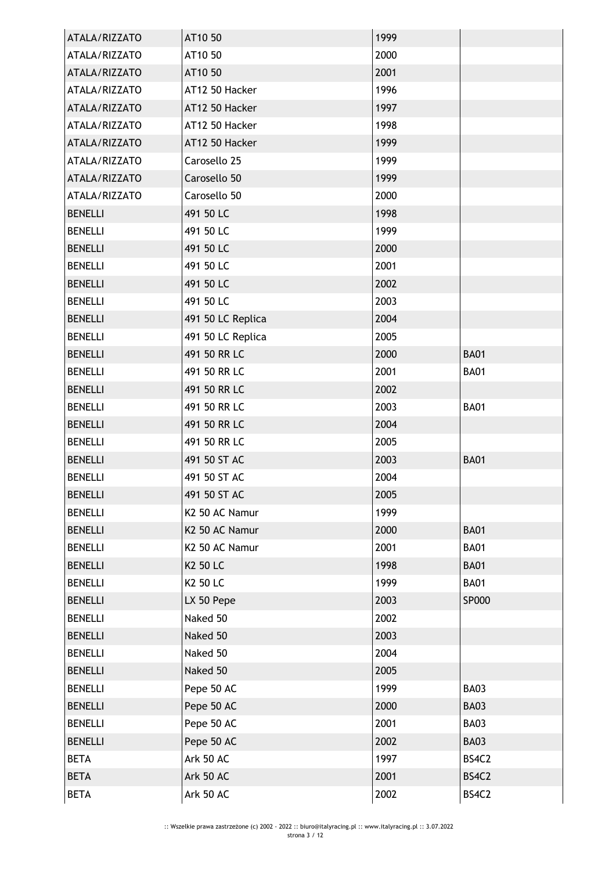| ATALA/RIZZATO  | AT10 50           | 1999 |             |
|----------------|-------------------|------|-------------|
| ATALA/RIZZATO  | AT10 50           | 2000 |             |
| ATALA/RIZZATO  | AT10 50           | 2001 |             |
| ATALA/RIZZATO  | AT12 50 Hacker    | 1996 |             |
| ATALA/RIZZATO  | AT12 50 Hacker    | 1997 |             |
| ATALA/RIZZATO  | AT12 50 Hacker    | 1998 |             |
| ATALA/RIZZATO  | AT12 50 Hacker    | 1999 |             |
| ATALA/RIZZATO  | Carosello 25      | 1999 |             |
| ATALA/RIZZATO  | Carosello 50      | 1999 |             |
| ATALA/RIZZATO  | Carosello 50      | 2000 |             |
| <b>BENELLI</b> | 491 50 LC         | 1998 |             |
| <b>BENELLI</b> | 491 50 LC         | 1999 |             |
| <b>BENELLI</b> | 491 50 LC         | 2000 |             |
| <b>BENELLI</b> | 491 50 LC         | 2001 |             |
| <b>BENELLI</b> | 491 50 LC         | 2002 |             |
| <b>BENELLI</b> | 491 50 LC         | 2003 |             |
| <b>BENELLI</b> | 491 50 LC Replica | 2004 |             |
| <b>BENELLI</b> | 491 50 LC Replica | 2005 |             |
| <b>BENELLI</b> | 491 50 RR LC      | 2000 | <b>BA01</b> |
| <b>BENELLI</b> | 491 50 RR LC      | 2001 | <b>BA01</b> |
| <b>BENELLI</b> | 491 50 RR LC      | 2002 |             |
| <b>BENELLI</b> | 491 50 RR LC      | 2003 | <b>BA01</b> |
| <b>BENELLI</b> | 491 50 RR LC      | 2004 |             |
| <b>BENELLI</b> | 491 50 RR LC      | 2005 |             |
| <b>BENELLI</b> | 491 50 ST AC      | 2003 | <b>BA01</b> |
| <b>BENELLI</b> | 491 50 ST AC      | 2004 |             |
| <b>BENELLI</b> | 491 50 ST AC      | 2005 |             |
| <b>BENELLI</b> | K2 50 AC Namur    | 1999 |             |
| <b>BENELLI</b> | K2 50 AC Namur    | 2000 | <b>BA01</b> |
| <b>BENELLI</b> | K2 50 AC Namur    | 2001 | <b>BA01</b> |
| <b>BENELLI</b> | K2 50 LC          | 1998 | <b>BA01</b> |
| <b>BENELLI</b> | K2 50 LC          | 1999 | <b>BA01</b> |
| <b>BENELLI</b> | LX 50 Pepe        | 2003 | SP000       |
| <b>BENELLI</b> | Naked 50          | 2002 |             |
| <b>BENELLI</b> | Naked 50          | 2003 |             |
| <b>BENELLI</b> | Naked 50          | 2004 |             |
| <b>BENELLI</b> | Naked 50          | 2005 |             |
| <b>BENELLI</b> | Pepe 50 AC        | 1999 | BA03        |
| <b>BENELLI</b> | Pepe 50 AC        | 2000 | <b>BA03</b> |
| <b>BENELLI</b> | Pepe 50 AC        | 2001 | <b>BA03</b> |
| <b>BENELLI</b> | Pepe 50 AC        | 2002 | <b>BA03</b> |
| <b>BETA</b>    | Ark 50 AC         | 1997 | BS4C2       |
| <b>BETA</b>    | Ark 50 AC         | 2001 | BS4C2       |
| <b>BETA</b>    | Ark 50 AC         | 2002 | BS4C2       |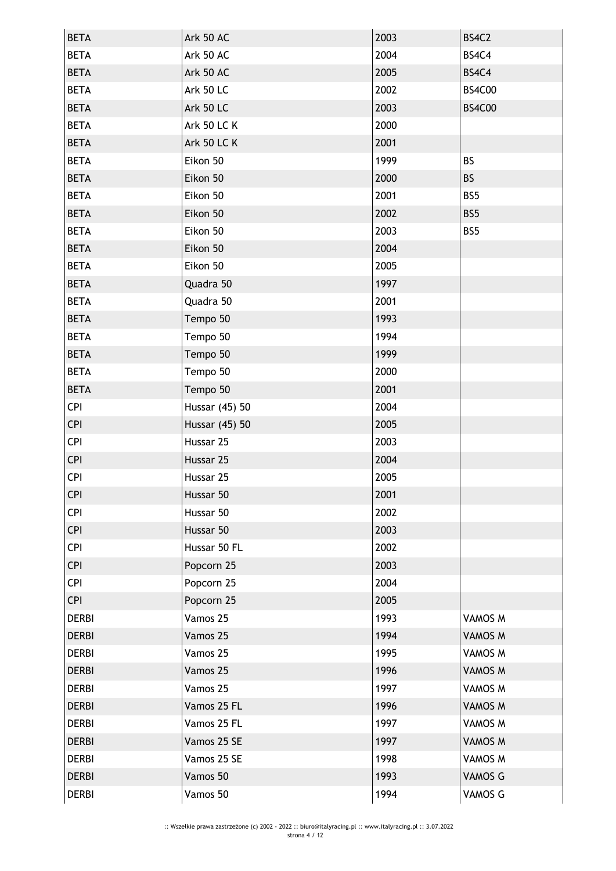| <b>BETA</b>  | Ark 50 AC          | 2003 | BS4C2         |
|--------------|--------------------|------|---------------|
| <b>BETA</b>  | Ark 50 AC          | 2004 | BS4C4         |
| <b>BETA</b>  | Ark 50 AC          | 2005 | BS4C4         |
| <b>BETA</b>  | <b>Ark 50 LC</b>   | 2002 | <b>BS4C00</b> |
| <b>BETA</b>  | <b>Ark 50 LC</b>   | 2003 | <b>BS4C00</b> |
| <b>BETA</b>  | <b>Ark 50 LC K</b> | 2000 |               |
| <b>BETA</b>  | <b>Ark 50 LC K</b> | 2001 |               |
| <b>BETA</b>  | Eikon 50           | 1999 | <b>BS</b>     |
| <b>BETA</b>  | Eikon 50           | 2000 | <b>BS</b>     |
| <b>BETA</b>  | Eikon 50           | 2001 | BS5           |
| <b>BETA</b>  | Eikon 50           | 2002 | BS5           |
| <b>BETA</b>  | Eikon 50           | 2003 | BS5           |
| <b>BETA</b>  | Eikon 50           | 2004 |               |
| <b>BETA</b>  | Eikon 50           | 2005 |               |
| <b>BETA</b>  | Quadra 50          | 1997 |               |
| <b>BETA</b>  | Quadra 50          | 2001 |               |
| <b>BETA</b>  | Tempo 50           | 1993 |               |
| <b>BETA</b>  | Tempo 50           | 1994 |               |
| <b>BETA</b>  | Tempo 50           | 1999 |               |
| <b>BETA</b>  | Tempo 50           | 2000 |               |
| <b>BETA</b>  | Tempo 50           | 2001 |               |
| <b>CPI</b>   | Hussar (45) 50     | 2004 |               |
| <b>CPI</b>   | Hussar (45) 50     | 2005 |               |
| <b>CPI</b>   | Hussar 25          | 2003 |               |
| <b>CPI</b>   | Hussar 25          | 2004 |               |
| <b>CPI</b>   | Hussar 25          | 2005 |               |
| <b>CPI</b>   | Hussar 50          | 2001 |               |
| <b>CPI</b>   | Hussar 50          | 2002 |               |
| <b>CPI</b>   | Hussar 50          | 2003 |               |
| <b>CPI</b>   | Hussar 50 FL       | 2002 |               |
| <b>CPI</b>   | Popcorn 25         | 2003 |               |
| <b>CPI</b>   | Popcorn 25         | 2004 |               |
| <b>CPI</b>   | Popcorn 25         | 2005 |               |
| <b>DERBI</b> | Vamos 25           | 1993 | VAMOS M       |
| <b>DERBI</b> | Vamos 25           | 1994 | VAMOS M       |
| <b>DERBI</b> | Vamos 25           | 1995 | VAMOS M       |
| <b>DERBI</b> | Vamos 25           | 1996 | VAMOS M       |
| <b>DERBI</b> | Vamos 25           | 1997 | VAMOS M       |
| <b>DERBI</b> | Vamos 25 FL        | 1996 | VAMOS M       |
| <b>DERBI</b> | Vamos 25 FL        | 1997 | VAMOS M       |
| <b>DERBI</b> | Vamos 25 SE        | 1997 | VAMOS M       |
| <b>DERBI</b> | Vamos 25 SE        | 1998 | VAMOS M       |
| <b>DERBI</b> | Vamos 50           | 1993 | VAMOS G       |
| <b>DERBI</b> | Vamos 50           | 1994 | VAMOS G       |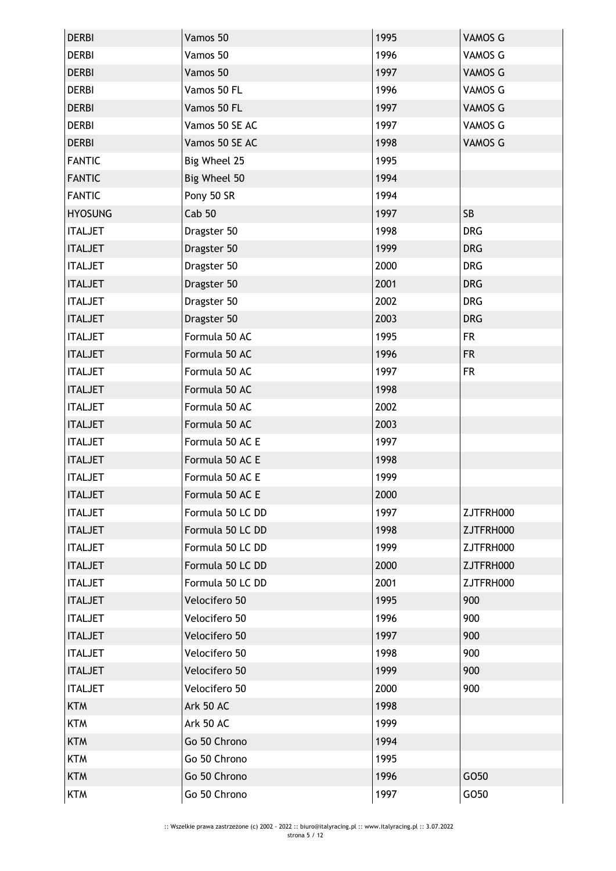| <b>DERBI</b>   | Vamos 50         | 1995 | VAMOS G        |
|----------------|------------------|------|----------------|
| <b>DERBI</b>   | Vamos 50         | 1996 | VAMOS G        |
| <b>DERBI</b>   | Vamos 50         | 1997 | <b>VAMOS G</b> |
| <b>DERBI</b>   | Vamos 50 FL      | 1996 | VAMOS G        |
| <b>DERBI</b>   | Vamos 50 FL      | 1997 | VAMOS G        |
| <b>DERBI</b>   | Vamos 50 SE AC   | 1997 | VAMOS G        |
| <b>DERBI</b>   | Vamos 50 SE AC   | 1998 | <b>VAMOS G</b> |
| <b>FANTIC</b>  | Big Wheel 25     | 1995 |                |
| <b>FANTIC</b>  | Big Wheel 50     | 1994 |                |
| <b>FANTIC</b>  | Pony 50 SR       | 1994 |                |
| <b>HYOSUNG</b> | Cab 50           | 1997 | <b>SB</b>      |
| <b>ITALJET</b> | Dragster 50      | 1998 | <b>DRG</b>     |
| <b>ITALJET</b> | Dragster 50      | 1999 | <b>DRG</b>     |
| <b>ITALJET</b> | Dragster 50      | 2000 | <b>DRG</b>     |
| <b>ITALJET</b> | Dragster 50      | 2001 | <b>DRG</b>     |
| <b>ITALJET</b> | Dragster 50      | 2002 | <b>DRG</b>     |
| <b>ITALJET</b> | Dragster 50      | 2003 | <b>DRG</b>     |
| <b>ITALJET</b> | Formula 50 AC    | 1995 | <b>FR</b>      |
| <b>ITALJET</b> | Formula 50 AC    | 1996 | <b>FR</b>      |
| <b>ITALJET</b> | Formula 50 AC    | 1997 | <b>FR</b>      |
| <b>ITALJET</b> | Formula 50 AC    | 1998 |                |
| <b>ITALJET</b> | Formula 50 AC    | 2002 |                |
| <b>ITALJET</b> | Formula 50 AC    | 2003 |                |
| <b>ITALJET</b> | Formula 50 AC E  | 1997 |                |
| <b>ITALJET</b> | Formula 50 AC E  | 1998 |                |
| <b>ITALJET</b> | Formula 50 AC E  | 1999 |                |
| <b>ITALJET</b> | Formula 50 AC E  | 2000 |                |
| <b>ITALJET</b> | Formula 50 LC DD | 1997 | ZJTFRH000      |
| <b>ITALJET</b> | Formula 50 LC DD | 1998 | ZJTFRH000      |
| <b>ITALJET</b> | Formula 50 LC DD | 1999 | ZJTFRH000      |
| <b>ITALJET</b> | Formula 50 LC DD | 2000 | ZJTFRH000      |
| <b>ITALJET</b> | Formula 50 LC DD | 2001 | ZJTFRH000      |
| <b>ITALJET</b> | Velocifero 50    | 1995 | 900            |
| <b>ITALJET</b> | Velocifero 50    | 1996 | 900            |
| <b>ITALJET</b> | Velocifero 50    | 1997 | 900            |
| <b>ITALJET</b> | Velocifero 50    | 1998 | 900            |
| <b>ITALJET</b> | Velocifero 50    | 1999 | 900            |
| <b>ITALJET</b> | Velocifero 50    | 2000 | 900            |
| <b>KTM</b>     | <b>Ark 50 AC</b> | 1998 |                |
| <b>KTM</b>     | Ark 50 AC        | 1999 |                |
| <b>KTM</b>     | Go 50 Chrono     | 1994 |                |
| <b>KTM</b>     | Go 50 Chrono     | 1995 |                |
| <b>KTM</b>     | Go 50 Chrono     | 1996 | GO50           |
| <b>KTM</b>     | Go 50 Chrono     | 1997 | GO50           |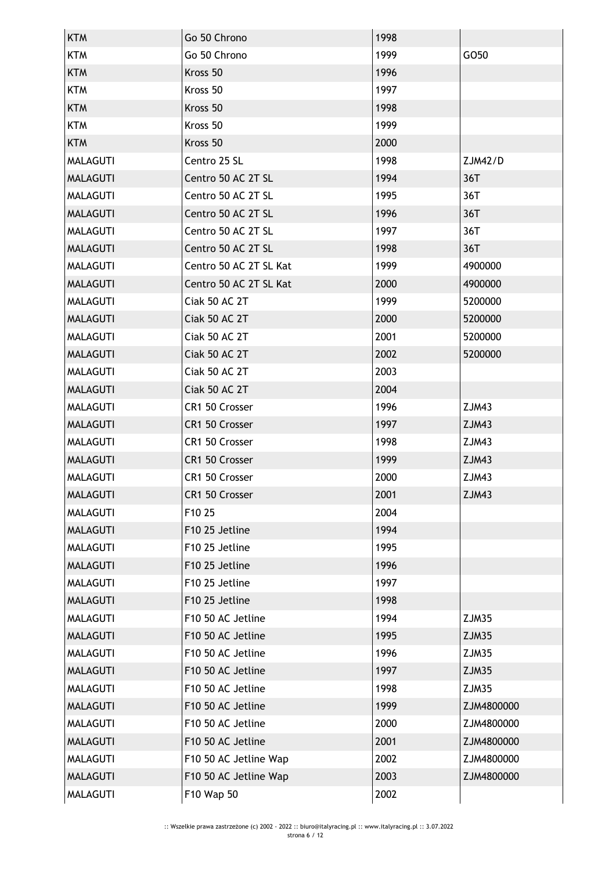| <b>KTM</b>      | Go 50 Chrono           | 1998 |              |
|-----------------|------------------------|------|--------------|
| <b>KTM</b>      | Go 50 Chrono           | 1999 | GO50         |
| <b>KTM</b>      | Kross 50               | 1996 |              |
| <b>KTM</b>      | Kross 50               | 1997 |              |
| <b>KTM</b>      | Kross 50               | 1998 |              |
| <b>KTM</b>      | Kross 50               | 1999 |              |
| <b>KTM</b>      | Kross 50               | 2000 |              |
| <b>MALAGUTI</b> | Centro 25 SL           | 1998 | ZJM42/D      |
| <b>MALAGUTI</b> | Centro 50 AC 2T SL     | 1994 | 36T          |
| <b>MALAGUTI</b> | Centro 50 AC 2T SL     | 1995 | 36T          |
| <b>MALAGUTI</b> | Centro 50 AC 2T SL     | 1996 | 36T          |
| <b>MALAGUTI</b> | Centro 50 AC 2T SL     | 1997 | 36T          |
| <b>MALAGUTI</b> | Centro 50 AC 2T SL     | 1998 | 36T          |
| <b>MALAGUTI</b> | Centro 50 AC 2T SL Kat | 1999 | 4900000      |
| <b>MALAGUTI</b> | Centro 50 AC 2T SL Kat | 2000 | 4900000      |
| <b>MALAGUTI</b> | Ciak 50 AC 2T          | 1999 | 5200000      |
| <b>MALAGUTI</b> | Ciak 50 AC 2T          | 2000 | 5200000      |
| <b>MALAGUTI</b> | Ciak 50 AC 2T          | 2001 | 5200000      |
| <b>MALAGUTI</b> | Ciak 50 AC 2T          | 2002 | 5200000      |
| <b>MALAGUTI</b> | Ciak 50 AC 2T          | 2003 |              |
| <b>MALAGUTI</b> | Ciak 50 AC 2T          | 2004 |              |
| <b>MALAGUTI</b> | CR1 50 Crosser         | 1996 | ZJM43        |
| <b>MALAGUTI</b> | CR1 50 Crosser         | 1997 | ZJM43        |
| <b>MALAGUTI</b> | CR1 50 Crosser         | 1998 | ZJM43        |
| <b>MALAGUTI</b> | CR1 50 Crosser         | 1999 | ZJM43        |
| <b>MALAGUTI</b> | CR1 50 Crosser         | 2000 | ZJM43        |
| <b>MALAGUTI</b> | CR1 50 Crosser         | 2001 | ZJM43        |
| <b>MALAGUTI</b> | F10 25                 | 2004 |              |
| <b>MALAGUTI</b> | F10 25 Jetline         | 1994 |              |
| <b>MALAGUTI</b> | F10 25 Jetline         | 1995 |              |
| <b>MALAGUTI</b> | F10 25 Jetline         | 1996 |              |
| <b>MALAGUTI</b> | F10 25 Jetline         | 1997 |              |
| <b>MALAGUTI</b> | F10 25 Jetline         | 1998 |              |
| <b>MALAGUTI</b> | F10 50 AC Jetline      | 1994 | ZJM35        |
| <b>MALAGUTI</b> | F10 50 AC Jetline      | 1995 | <b>ZJM35</b> |
| <b>MALAGUTI</b> | F10 50 AC Jetline      | 1996 | ZJM35        |
| <b>MALAGUTI</b> | F10 50 AC Jetline      | 1997 | <b>ZJM35</b> |
| <b>MALAGUTI</b> | F10 50 AC Jetline      | 1998 | ZJM35        |
| <b>MALAGUTI</b> | F10 50 AC Jetline      | 1999 | ZJM4800000   |
| <b>MALAGUTI</b> | F10 50 AC Jetline      | 2000 | ZJM4800000   |
| <b>MALAGUTI</b> | F10 50 AC Jetline      | 2001 | ZJM4800000   |
| <b>MALAGUTI</b> | F10 50 AC Jetline Wap  | 2002 | ZJM4800000   |
| <b>MALAGUTI</b> | F10 50 AC Jetline Wap  | 2003 | ZJM4800000   |
| <b>MALAGUTI</b> | F10 Wap 50             | 2002 |              |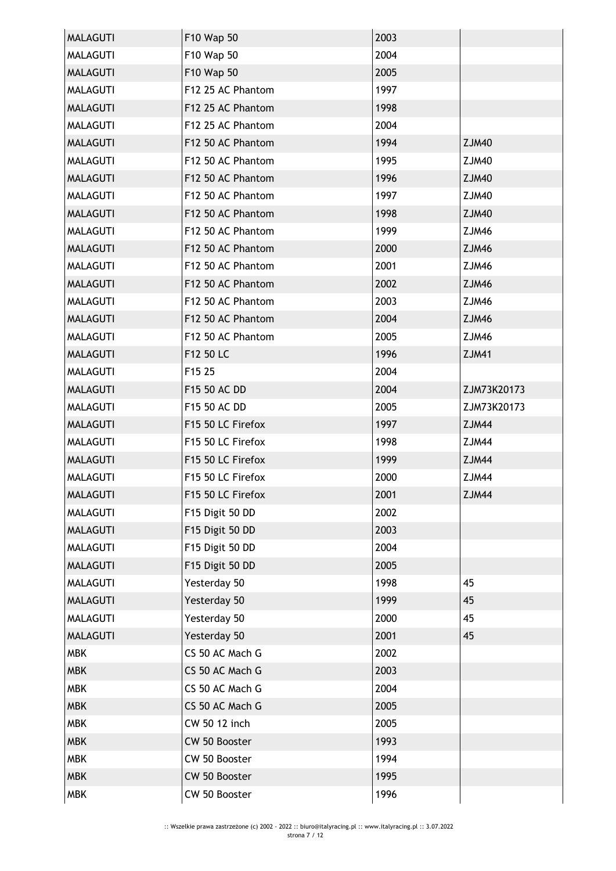| <b>MALAGUTI</b> | F10 Wap 50        | 2003 |              |
|-----------------|-------------------|------|--------------|
| <b>MALAGUTI</b> | F10 Wap 50        | 2004 |              |
| <b>MALAGUTI</b> | F10 Wap 50        | 2005 |              |
| <b>MALAGUTI</b> | F12 25 AC Phantom | 1997 |              |
| <b>MALAGUTI</b> | F12 25 AC Phantom | 1998 |              |
| <b>MALAGUTI</b> | F12 25 AC Phantom | 2004 |              |
| <b>MALAGUTI</b> | F12 50 AC Phantom | 1994 | <b>ZJM40</b> |
| <b>MALAGUTI</b> | F12 50 AC Phantom | 1995 | <b>ZJM40</b> |
| <b>MALAGUTI</b> | F12 50 AC Phantom | 1996 | <b>ZJM40</b> |
| <b>MALAGUTI</b> | F12 50 AC Phantom | 1997 | ZJM40        |
| <b>MALAGUTI</b> | F12 50 AC Phantom | 1998 | <b>ZJM40</b> |
| <b>MALAGUTI</b> | F12 50 AC Phantom | 1999 | ZJM46        |
| <b>MALAGUTI</b> | F12 50 AC Phantom | 2000 | <b>ZJM46</b> |
| <b>MALAGUTI</b> | F12 50 AC Phantom | 2001 | ZJM46        |
| <b>MALAGUTI</b> | F12 50 AC Phantom | 2002 | <b>ZJM46</b> |
| <b>MALAGUTI</b> | F12 50 AC Phantom | 2003 | ZJM46        |
| <b>MALAGUTI</b> | F12 50 AC Phantom | 2004 | <b>ZJM46</b> |
| <b>MALAGUTI</b> | F12 50 AC Phantom | 2005 | ZJM46        |
| <b>MALAGUTI</b> | F12 50 LC         | 1996 | <b>ZJM41</b> |
| <b>MALAGUTI</b> | F15 25            | 2004 |              |
| <b>MALAGUTI</b> | F15 50 AC DD      | 2004 | ZJM73K20173  |
| <b>MALAGUTI</b> | F15 50 AC DD      | 2005 | ZJM73K20173  |
| <b>MALAGUTI</b> | F15 50 LC Firefox | 1997 | ZJM44        |
| <b>MALAGUTI</b> | F15 50 LC Firefox | 1998 | ZJM44        |
| <b>MALAGUTI</b> | F15 50 LC Firefox | 1999 | <b>ZJM44</b> |
| <b>MALAGUTI</b> | F15 50 LC Firefox | 2000 | ZJM44        |
| <b>MALAGUTI</b> | F15 50 LC Firefox | 2001 | ZJM44        |
| <b>MALAGUTI</b> | F15 Digit 50 DD   | 2002 |              |
| <b>MALAGUTI</b> | F15 Digit 50 DD   | 2003 |              |
| <b>MALAGUTI</b> | F15 Digit 50 DD   | 2004 |              |
| <b>MALAGUTI</b> | F15 Digit 50 DD   | 2005 |              |
| <b>MALAGUTI</b> | Yesterday 50      | 1998 | 45           |
| <b>MALAGUTI</b> | Yesterday 50      | 1999 | 45           |
| <b>MALAGUTI</b> | Yesterday 50      | 2000 | 45           |
| <b>MALAGUTI</b> | Yesterday 50      | 2001 | 45           |
| <b>MBK</b>      | CS 50 AC Mach G   | 2002 |              |
| <b>MBK</b>      | CS 50 AC Mach G   | 2003 |              |
| <b>MBK</b>      | CS 50 AC Mach G   | 2004 |              |
| <b>MBK</b>      | CS 50 AC Mach G   | 2005 |              |
| <b>MBK</b>      | CW 50 12 inch     | 2005 |              |
| <b>MBK</b>      | CW 50 Booster     | 1993 |              |
| <b>MBK</b>      | CW 50 Booster     | 1994 |              |
| <b>MBK</b>      | CW 50 Booster     | 1995 |              |
| <b>MBK</b>      | CW 50 Booster     | 1996 |              |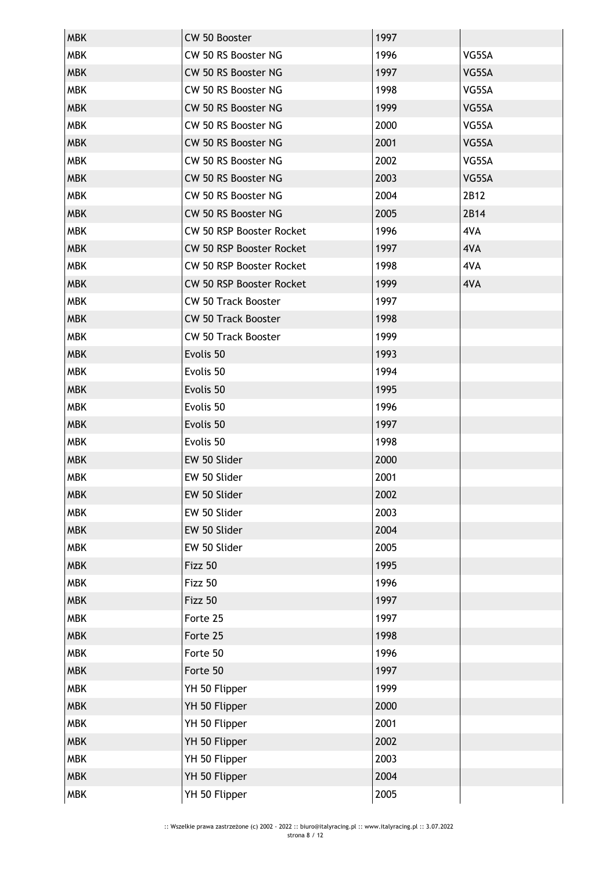| <b>MBK</b> | CW 50 Booster                   | 1997 |       |
|------------|---------------------------------|------|-------|
| <b>MBK</b> | CW 50 RS Booster NG             | 1996 | VG5SA |
| <b>MBK</b> | CW 50 RS Booster NG             | 1997 | VG5SA |
| <b>MBK</b> | CW 50 RS Booster NG             | 1998 | VG5SA |
| <b>MBK</b> | CW 50 RS Booster NG             | 1999 | VG5SA |
| <b>MBK</b> | CW 50 RS Booster NG             | 2000 | VG5SA |
| <b>MBK</b> | CW 50 RS Booster NG             | 2001 | VG5SA |
| <b>MBK</b> | CW 50 RS Booster NG             | 2002 | VG5SA |
| <b>MBK</b> | CW 50 RS Booster NG             | 2003 | VG5SA |
| <b>MBK</b> | CW 50 RS Booster NG             | 2004 | 2B12  |
| <b>MBK</b> | CW 50 RS Booster NG             | 2005 | 2B14  |
| <b>MBK</b> | CW 50 RSP Booster Rocket        | 1996 | 4VA   |
| <b>MBK</b> | CW 50 RSP Booster Rocket        | 1997 | 4VA   |
| <b>MBK</b> | <b>CW 50 RSP Booster Rocket</b> | 1998 | 4VA   |
| <b>MBK</b> | CW 50 RSP Booster Rocket        | 1999 | 4VA   |
| <b>MBK</b> | <b>CW 50 Track Booster</b>      | 1997 |       |
| <b>MBK</b> | <b>CW 50 Track Booster</b>      | 1998 |       |
| <b>MBK</b> | <b>CW 50 Track Booster</b>      | 1999 |       |
| <b>MBK</b> | Evolis 50                       | 1993 |       |
| <b>MBK</b> | Evolis 50                       | 1994 |       |
| <b>MBK</b> | Evolis 50                       | 1995 |       |
| <b>MBK</b> | Evolis 50                       | 1996 |       |
| <b>MBK</b> | Evolis 50                       | 1997 |       |
| <b>MBK</b> | Evolis 50                       | 1998 |       |
| <b>MBK</b> | EW 50 Slider                    | 2000 |       |
| <b>MBK</b> | EW 50 Slider                    | 2001 |       |
| <b>MBK</b> | EW 50 Slider                    | 2002 |       |
| MBK        | EW 50 Slider                    | 2003 |       |
| <b>MBK</b> | EW 50 Slider                    | 2004 |       |
| <b>MBK</b> | EW 50 Slider                    | 2005 |       |
| <b>MBK</b> | Fizz 50                         | 1995 |       |
| <b>MBK</b> | Fizz 50                         | 1996 |       |
| <b>MBK</b> | Fizz 50                         | 1997 |       |
| <b>MBK</b> | Forte 25                        | 1997 |       |
| <b>MBK</b> | Forte 25                        | 1998 |       |
| <b>MBK</b> | Forte 50                        | 1996 |       |
| <b>MBK</b> | Forte 50                        | 1997 |       |
| <b>MBK</b> | YH 50 Flipper                   | 1999 |       |
| <b>MBK</b> | YH 50 Flipper                   | 2000 |       |
| <b>MBK</b> | YH 50 Flipper                   | 2001 |       |
| <b>MBK</b> | YH 50 Flipper                   | 2002 |       |
| <b>MBK</b> | YH 50 Flipper                   | 2003 |       |
| <b>MBK</b> | YH 50 Flipper                   | 2004 |       |
| <b>MBK</b> | YH 50 Flipper                   | 2005 |       |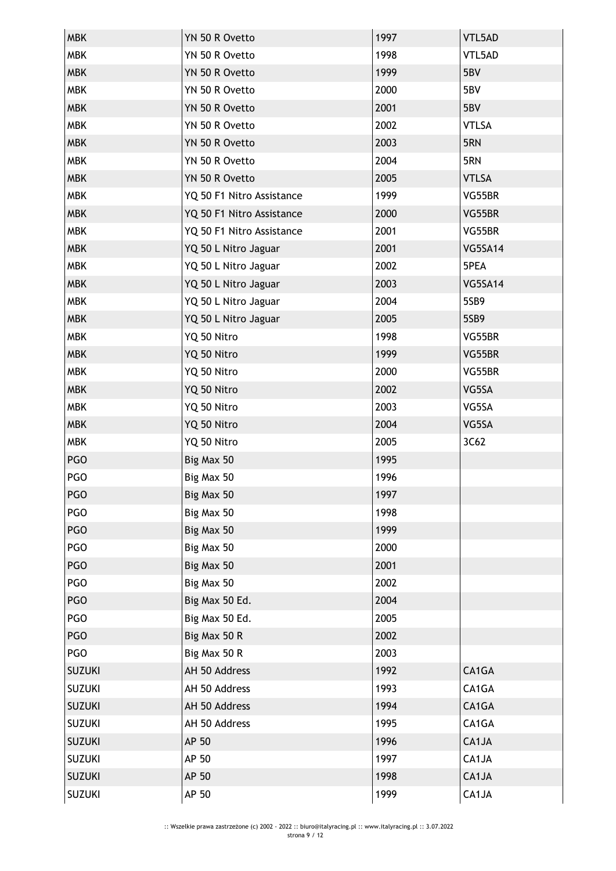| <b>MBK</b>    | YN 50 R Ovetto            | 1997 | VTL5AD         |
|---------------|---------------------------|------|----------------|
| <b>MBK</b>    | YN 50 R Ovetto            | 1998 | VTL5AD         |
| <b>MBK</b>    | YN 50 R Ovetto            | 1999 | 5BV            |
| <b>MBK</b>    | YN 50 R Ovetto            | 2000 | 5BV            |
| <b>MBK</b>    | YN 50 R Ovetto            | 2001 | 5BV            |
| <b>MBK</b>    | YN 50 R Ovetto            | 2002 | <b>VTLSA</b>   |
| <b>MBK</b>    | YN 50 R Ovetto            | 2003 | 5RN            |
| <b>MBK</b>    | YN 50 R Ovetto            | 2004 | 5RN            |
| <b>MBK</b>    | YN 50 R Ovetto            | 2005 | <b>VTLSA</b>   |
| <b>MBK</b>    | YQ 50 F1 Nitro Assistance | 1999 | VG55BR         |
| <b>MBK</b>    | YQ 50 F1 Nitro Assistance | 2000 | VG55BR         |
| <b>MBK</b>    | YQ 50 F1 Nitro Assistance | 2001 | VG55BR         |
| <b>MBK</b>    | YQ 50 L Nitro Jaguar      | 2001 | VG5SA14        |
| <b>MBK</b>    | YQ 50 L Nitro Jaguar      | 2002 | 5PEA           |
| <b>MBK</b>    | YQ 50 L Nitro Jaguar      | 2003 | <b>VG5SA14</b> |
| <b>MBK</b>    | YQ 50 L Nitro Jaguar      | 2004 | 5SB9           |
| <b>MBK</b>    | YQ 50 L Nitro Jaguar      | 2005 | 5SB9           |
| <b>MBK</b>    | YQ 50 Nitro               | 1998 | VG55BR         |
| <b>MBK</b>    | YQ 50 Nitro               | 1999 | VG55BR         |
| <b>MBK</b>    | YQ 50 Nitro               | 2000 | VG55BR         |
| <b>MBK</b>    | YQ 50 Nitro               | 2002 | VG5SA          |
| <b>MBK</b>    | YQ 50 Nitro               | 2003 | VG5SA          |
| <b>MBK</b>    | YQ 50 Nitro               | 2004 | VG5SA          |
| <b>MBK</b>    | YQ 50 Nitro               | 2005 | 3C62           |
| <b>PGO</b>    | Big Max 50                | 1995 |                |
| PGO           | Big Max 50                | 1996 |                |
| PGO           | Big Max 50                | 1997 |                |
| PGO           | Big Max 50                | 1998 |                |
| <b>PGO</b>    | Big Max 50                | 1999 |                |
| <b>PGO</b>    | Big Max 50                | 2000 |                |
| <b>PGO</b>    | Big Max 50                | 2001 |                |
| PGO           | Big Max 50                | 2002 |                |
| PGO           | Big Max 50 Ed.            | 2004 |                |
| <b>PGO</b>    | Big Max 50 Ed.            | 2005 |                |
| <b>PGO</b>    | Big Max 50 R              | 2002 |                |
| <b>PGO</b>    | Big Max 50 R              | 2003 |                |
| <b>SUZUKI</b> | AH 50 Address             | 1992 | CA1GA          |
| <b>SUZUKI</b> | AH 50 Address             | 1993 | CA1GA          |
| <b>SUZUKI</b> | AH 50 Address             | 1994 | CA1GA          |
| <b>SUZUKI</b> | AH 50 Address             | 1995 | CA1GA          |
| <b>SUZUKI</b> | AP 50                     | 1996 | CA1JA          |
| <b>SUZUKI</b> | AP 50                     | 1997 | CA1JA          |
| <b>SUZUKI</b> | AP 50                     | 1998 | CA1JA          |
| <b>SUZUKI</b> | AP 50                     | 1999 | CA1JA          |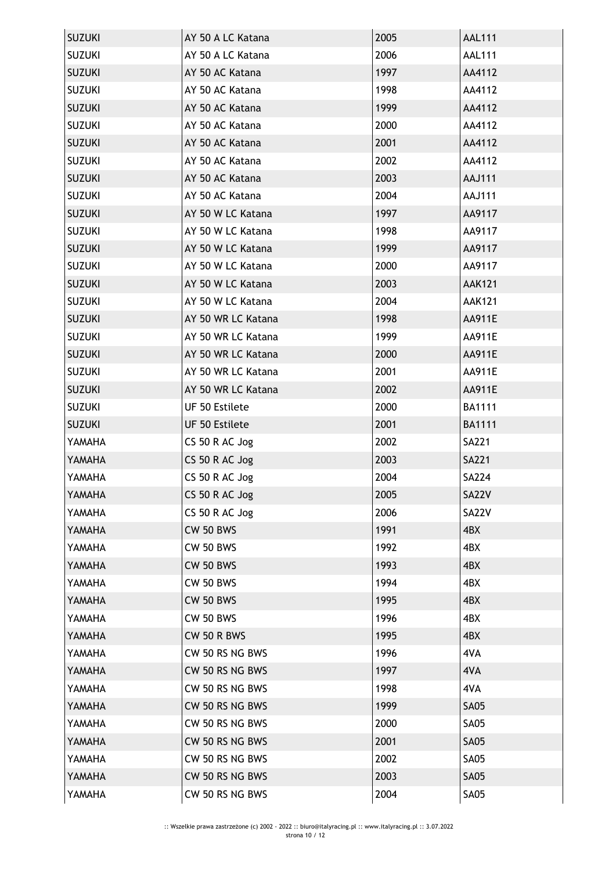| <b>SUZUKI</b> | AY 50 A LC Katana  | 2005 | <b>AAL111</b> |
|---------------|--------------------|------|---------------|
| <b>SUZUKI</b> | AY 50 A LC Katana  | 2006 | <b>AAL111</b> |
| <b>SUZUKI</b> | AY 50 AC Katana    | 1997 | AA4112        |
| <b>SUZUKI</b> | AY 50 AC Katana    | 1998 | AA4112        |
| <b>SUZUKI</b> | AY 50 AC Katana    | 1999 | AA4112        |
| <b>SUZUKI</b> | AY 50 AC Katana    | 2000 | AA4112        |
| <b>SUZUKI</b> | AY 50 AC Katana    | 2001 | AA4112        |
| <b>SUZUKI</b> | AY 50 AC Katana    | 2002 | AA4112        |
| <b>SUZUKI</b> | AY 50 AC Katana    | 2003 | <b>AAJ111</b> |
| <b>SUZUKI</b> | AY 50 AC Katana    | 2004 | <b>AAJ111</b> |
| <b>SUZUKI</b> | AY 50 W LC Katana  | 1997 | AA9117        |
| <b>SUZUKI</b> | AY 50 W LC Katana  | 1998 | AA9117        |
| <b>SUZUKI</b> | AY 50 W LC Katana  | 1999 | AA9117        |
| <b>SUZUKI</b> | AY 50 W LC Katana  | 2000 | AA9117        |
| <b>SUZUKI</b> | AY 50 W LC Katana  | 2003 | <b>AAK121</b> |
| <b>SUZUKI</b> | AY 50 W LC Katana  | 2004 | <b>AAK121</b> |
| <b>SUZUKI</b> | AY 50 WR LC Katana | 1998 | AA911E        |
| <b>SUZUKI</b> | AY 50 WR LC Katana | 1999 | AA911E        |
| <b>SUZUKI</b> | AY 50 WR LC Katana | 2000 | AA911E        |
| <b>SUZUKI</b> | AY 50 WR LC Katana | 2001 | AA911E        |
| <b>SUZUKI</b> | AY 50 WR LC Katana | 2002 | AA911E        |
| <b>SUZUKI</b> | UF 50 Estilete     | 2000 | <b>BA1111</b> |
| <b>SUZUKI</b> | UF 50 Estilete     | 2001 | <b>BA1111</b> |
| YAMAHA        | CS 50 R AC Jog     | 2002 | <b>SA221</b>  |
| YAMAHA        | CS 50 R AC Jog     | 2003 | <b>SA221</b>  |
| YAMAHA        | CS 50 R AC Jog     | 2004 | <b>SA224</b>  |
| <b>AHAMAY</b> | CS 50 R AC Jog     | 2005 | SA22V         |
| YAMAHA        | CS 50 R AC Jog     | 2006 | SA22V         |
| YAMAHA        | <b>CW 50 BWS</b>   | 1991 | 4BX           |
| YAMAHA        | <b>CW 50 BWS</b>   | 1992 | 4BX           |
| YAMAHA        | <b>CW 50 BWS</b>   | 1993 | 4BX           |
| YAMAHA        | <b>CW 50 BWS</b>   | 1994 | 4BX           |
| YAMAHA        | <b>CW 50 BWS</b>   | 1995 | 4BX           |
| YAMAHA        | <b>CW 50 BWS</b>   | 1996 | 4BX           |
| YAMAHA        | <b>CW 50 R BWS</b> | 1995 | 4BX           |
| YAMAHA        | CW 50 RS NG BWS    | 1996 | 4VA           |
| YAMAHA        | CW 50 RS NG BWS    | 1997 | 4VA           |
| YAMAHA        | CW 50 RS NG BWS    | 1998 | 4VA           |
| YAMAHA        | CW 50 RS NG BWS    | 1999 | <b>SA05</b>   |
| YAMAHA        | CW 50 RS NG BWS    | 2000 | <b>SA05</b>   |
| YAMAHA        | CW 50 RS NG BWS    | 2001 | <b>SA05</b>   |
| YAMAHA        | CW 50 RS NG BWS    | 2002 | <b>SA05</b>   |
| YAMAHA        | CW 50 RS NG BWS    | 2003 | <b>SA05</b>   |
| YAMAHA        | CW 50 RS NG BWS    | 2004 | <b>SA05</b>   |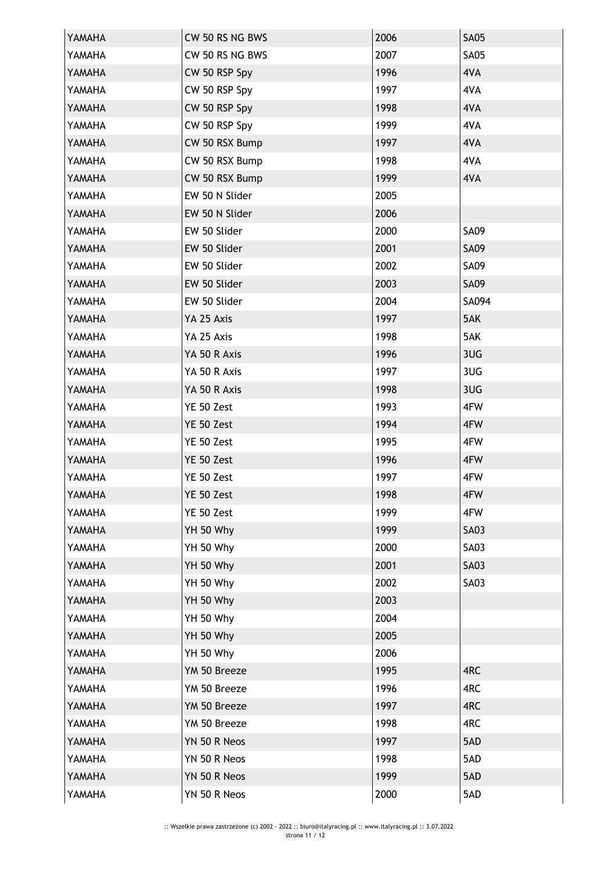| YAMAHA | CW 50 RS NG BWS | 2006 | <b>SA05</b> |
|--------|-----------------|------|-------------|
| YAMAHA | CW 50 RS NG BWS | 2007 | <b>SA05</b> |
| YAMAHA | CW 50 RSP Spy   | 1996 | 4VA         |
| YAMAHA | CW 50 RSP Spy   | 1997 | 4VA         |
| YAMAHA | CW 50 RSP Spy   | 1998 | 4VA         |
| YAMAHA | CW 50 RSP Spy   | 1999 | 4VA         |
| YAMAHA | CW 50 RSX Bump  | 1997 | 4VA         |
| YAMAHA | CW 50 RSX Bump  | 1998 | 4VA         |
| YAMAHA | CW 50 RSX Bump  | 1999 | 4VA         |
| YAMAHA | EW 50 N Slider  | 2005 |             |
| YAMAHA | EW 50 N Slider  | 2006 |             |
| YAMAHA | EW 50 Slider    | 2000 | <b>SA09</b> |
| YAMAHA | EW 50 Slider    | 2001 | <b>SA09</b> |
| YAMAHA | EW 50 Slider    | 2002 | <b>SA09</b> |
| YAMAHA | EW 50 Slider    | 2003 | <b>SA09</b> |
| YAMAHA | EW 50 Slider    | 2004 | SA094       |
| YAMAHA | YA 25 Axis      | 1997 | 5AK         |
| YAMAHA | YA 25 Axis      | 1998 | 5AK         |
| YAMAHA | YA 50 R Axis    | 1996 | 3UG         |
| YAMAHA | YA 50 R Axis    | 1997 | 3UG         |
| YAMAHA | YA 50 R Axis    | 1998 | 3UG         |
| YAMAHA | YE 50 Zest      | 1993 | 4FW         |
| YAMAHA | YE 50 Zest      | 1994 | 4FW         |
| YAMAHA | YE 50 Zest      | 1995 | 4FW         |
| YAMAHA | YE 50 Zest      | 1996 | 4FW         |
| YAMAHA | YE 50 Zest      | 1997 | 4FW         |
| YAMAHA | YE 50 Zest      | 1998 | 4FW         |
| YAMAHA | YE 50 Zest      | 1999 | 4FW         |
| YAMAHA | YH 50 Why       | 1999 | <b>SA03</b> |
| YAMAHA | YH 50 Why       | 2000 | <b>SA03</b> |
| YAMAHA | YH 50 Why       | 2001 | <b>SA03</b> |
| YAMAHA | YH 50 Why       | 2002 | <b>SA03</b> |
| YAMAHA | YH 50 Why       | 2003 |             |
| YAMAHA | YH 50 Why       | 2004 |             |
| YAMAHA | YH 50 Why       | 2005 |             |
| YAMAHA | YH 50 Why       | 2006 |             |
| YAMAHA | YM 50 Breeze    | 1995 | 4RC         |
| YAMAHA | YM 50 Breeze    | 1996 | 4RC         |
| YAMAHA | YM 50 Breeze    | 1997 | 4RC         |
| YAMAHA | YM 50 Breeze    | 1998 | 4RC         |
| YAMAHA | YN 50 R Neos    | 1997 | 5AD         |
| YAMAHA | YN 50 R Neos    | 1998 | 5AD         |
| YAMAHA | YN 50 R Neos    | 1999 | 5AD         |
| YAMAHA | YN 50 R Neos    | 2000 | 5AD         |